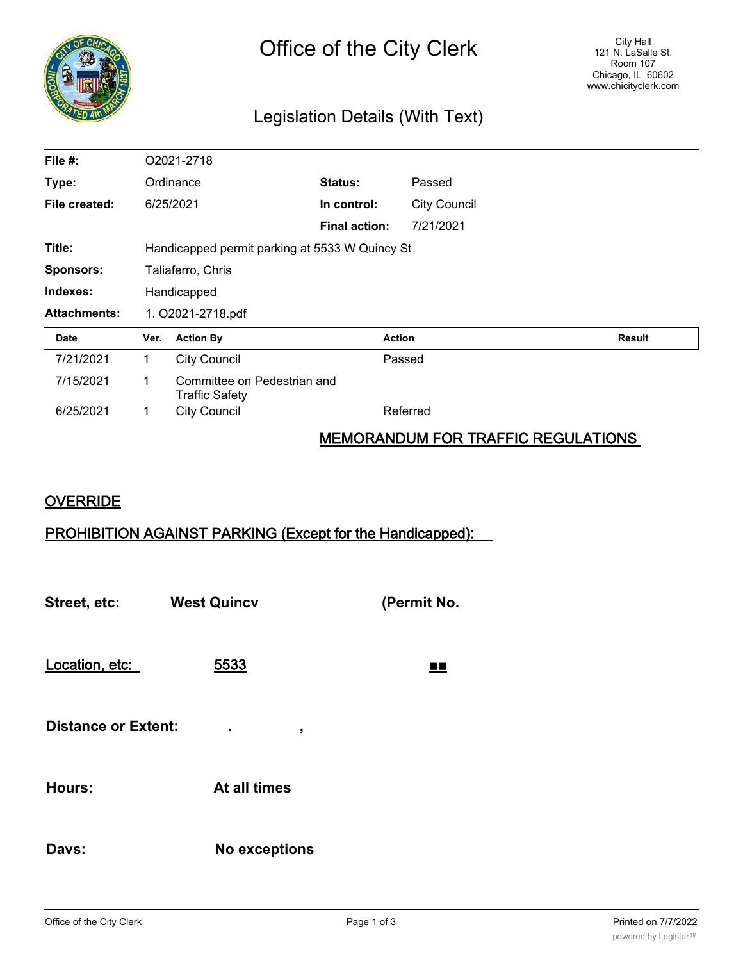

# Legislation Details (With Text)

| File #:             | O2021-2718                                     |                                                      |                      |                     |               |
|---------------------|------------------------------------------------|------------------------------------------------------|----------------------|---------------------|---------------|
| Type:               | Ordinance                                      |                                                      | Status:              | Passed              |               |
| File created:       |                                                | 6/25/2021                                            | In control:          | <b>City Council</b> |               |
|                     |                                                |                                                      | <b>Final action:</b> | 7/21/2021           |               |
| Title:              | Handicapped permit parking at 5533 W Quincy St |                                                      |                      |                     |               |
| <b>Sponsors:</b>    | Taliaferro, Chris                              |                                                      |                      |                     |               |
| Indexes:            | Handicapped                                    |                                                      |                      |                     |               |
| <b>Attachments:</b> | 1. O2021-2718.pdf                              |                                                      |                      |                     |               |
| Date                | Ver.                                           | <b>Action By</b>                                     |                      | <b>Action</b>       | <b>Result</b> |
| 7/21/2021           | 1.                                             | <b>City Council</b>                                  |                      | Passed              |               |
| 7/15/2021           | 1.                                             | Committee on Pedestrian and<br><b>Traffic Safety</b> |                      |                     |               |
| 6/25/2021           | 1                                              | <b>City Council</b>                                  |                      | Referred            |               |

### MEMORANDUM FOR TRAFFIC REGULATIONS

### **OVERRIDE**

## PROHIBITION AGAINST PARKING (Except for the Handicapped):

**Street, etc: West Quincv (Permit No.** Location, etc: 5533 ■■ **Distance or Extent: . , Hours: At all times Davs: No exceptions**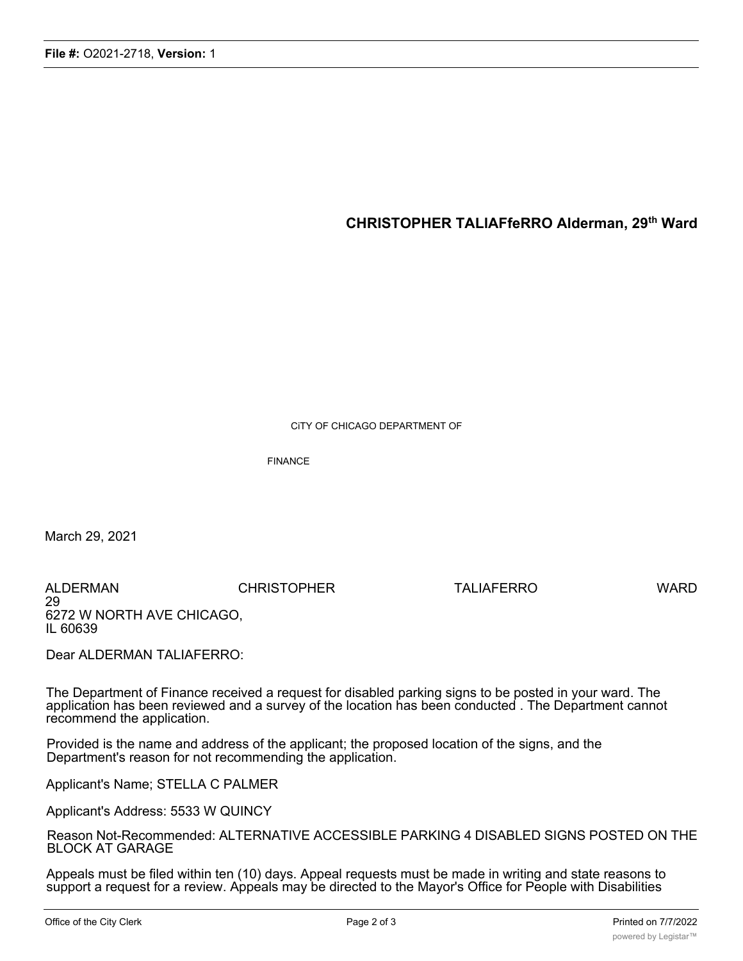### **CHRISTOPHER TALlAFfeRRO Alderman, 29th Ward**

CiTY OF CHICAGO DEPARTMENT OF

FINANCE

March 29, 2021

ALDERMAN CHRISTOPHER TALIAFERRO WARD 29 6272 W NORTH AVE CHICAGO, IL 60639

Dear ALDERMAN TALIAFERRO:

The Department of Finance received a request for disabled parking signs to be posted in your ward. The application has been reviewed and a survey of the location has been conducted . The Department cannot recommend the application.

Provided is the name and address of the applicant; the proposed location of the signs, and the Department's reason for not recommending the application.

Applicant's Name; STELLA C PALMER

Applicant's Address: 5533 W QUINCY

Reason Not-Recommended: ALTERNATIVE ACCESSIBLE PARKING 4 DISABLED SIGNS POSTED ON THE BLOCK AT GARAGE

Appeals must be filed within ten (10) days. Appeal requests must be made in writing and state reasons to support a request for a review. Appeals may be directed to the Mayor's Office for People with Disabilities